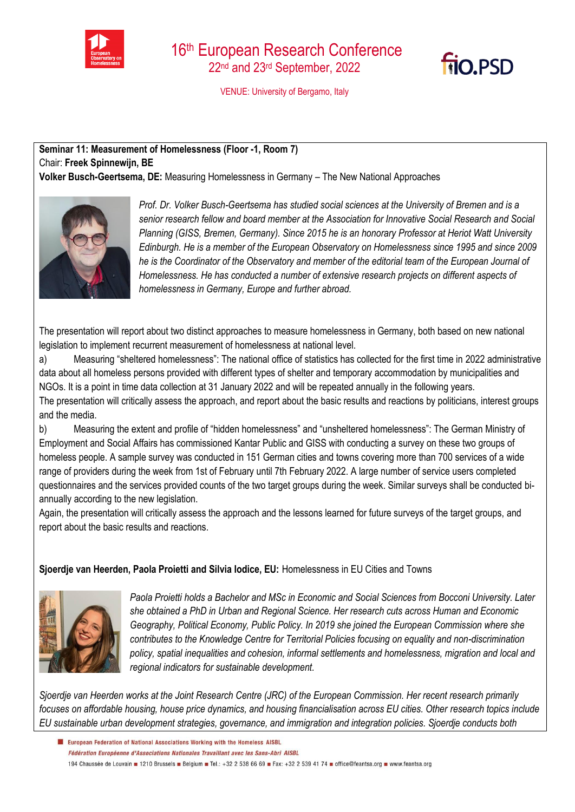



VENUE: University of Bergamo, Italy

## **Seminar 11: Measurement of Homelessness (Floor -1, Room 7)**  Chair: **Freek Spinnewijn, BE Volker Busch-Geertsema, DE:** Measuring Homelessness in Germany – The New National Approaches



*Prof. Dr. Volker Busch-Geertsema has studied social sciences at the University of Bremen and is a senior research fellow and board member at the Association for Innovative Social Research and Social Planning (GISS, Bremen, Germany). Since 2015 he is an honorary Professor at Heriot Watt University Edinburgh. He is a member of the European Observatory on Homelessness since 1995 and since 2009 he is the Coordinator of the Observatory and member of the editorial team of the European Journal of Homelessness. He has conducted a number of extensive research projects on different aspects of homelessness in Germany, Europe and further abroad.*

The presentation will report about two distinct approaches to measure homelessness in Germany, both based on new national legislation to implement recurrent measurement of homelessness at national level.

a) Measuring "sheltered homelessness": The national office of statistics has collected for the first time in 2022 administrative data about all homeless persons provided with different types of shelter and temporary accommodation by municipalities and NGOs. It is a point in time data collection at 31 January 2022 and will be repeated annually in the following years. The presentation will critically assess the approach, and report about the basic results and reactions by politicians, interest groups and the media.

b) Measuring the extent and profile of "hidden homelessness" and "unsheltered homelessness": The German Ministry of Employment and Social Affairs has commissioned Kantar Public and GISS with conducting a survey on these two groups of homeless people. A sample survey was conducted in 151 German cities and towns covering more than 700 services of a wide range of providers during the week from 1st of February until 7th February 2022. A large number of service users completed questionnaires and the services provided counts of the two target groups during the week. Similar surveys shall be conducted biannually according to the new legislation.

Again, the presentation will critically assess the approach and the lessons learned for future surveys of the target groups, and report about the basic results and reactions.

## **Sjoerdje van Heerden, Paola Proietti and Silvia Iodice, EU:** Homelessness in EU Cities and Towns



*Paola Proietti holds a Bachelor and MSc in Economic and Social Sciences from Bocconi University. Later she obtained a PhD in Urban and Regional Science. Her research cuts across Human and Economic Geography, Political Economy, Public Policy. In 2019 she joined the European Commission where she contributes to the Knowledge Centre for Territorial Policies focusing on equality and non-discrimination policy, spatial inequalities and cohesion, informal settlements and homelessness, migration and local and regional indicators for sustainable development.*

*Sjoerdje van Heerden works at the Joint Research Centre (JRC) of the European Commission. Her recent research primarily focuses on affordable housing, house price dynamics, and housing financialisation across EU cities. Other research topics include EU sustainable urban development strategies, governance, and immigration and integration policies. Sjoerdje conducts both* 

El European Federation of National Associations Working with the Homeless AISBL Fédération Européenne d'Associations Nationales Travaillant avec les Sans-Abri AISBL 194 Chaussée de Louvain 1210 Brussels Belgium B Tel.: +32 2 538 66 69 B Fax: +32 2 539 41 74 B office@feantsa.org B www.feantsa.org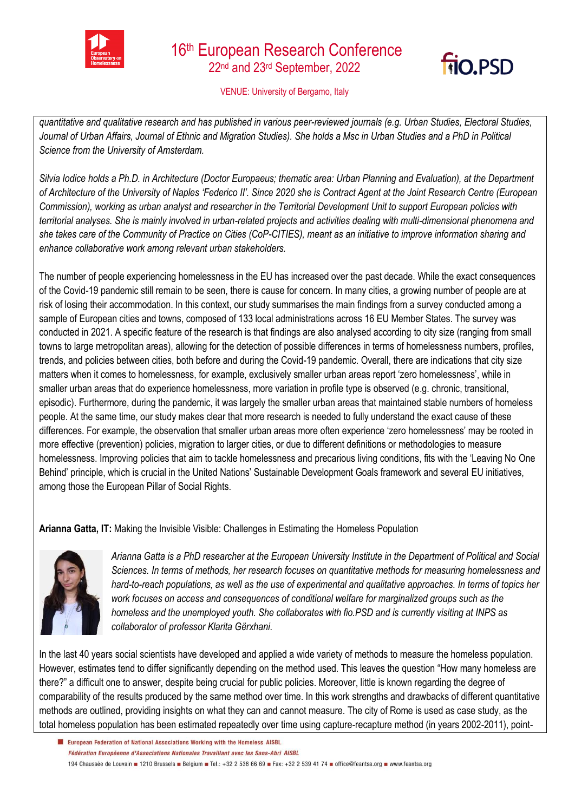



## VENUE: University of Bergamo, Italy

*quantitative and qualitative research and has published in various peer-reviewed journals (e.g. Urban Studies, Electoral Studies, Journal of Urban Affairs, Journal of Ethnic and Migration Studies). She holds a Msc in Urban Studies and a PhD in Political Science from the University of Amsterdam.*

*Silvia Iodice holds a Ph.D. in Architecture (Doctor Europaeus; thematic area: Urban Planning and Evaluation), at the Department of Architecture of the University of Naples 'Federico II'. Since 2020 she is Contract Agent at the Joint Research Centre (European Commission), working as urban analyst and researcher in the Territorial Development Unit to support European policies with territorial analyses. She is mainly involved in urban-related projects and activities dealing with multi-dimensional phenomena and she takes care of the Community of Practice on Cities (CoP-CITIES), meant as an initiative to improve information sharing and enhance collaborative work among relevant urban stakeholders.*

The number of people experiencing homelessness in the EU has increased over the past decade. While the exact consequences of the Covid-19 pandemic still remain to be seen, there is cause for concern. In many cities, a growing number of people are at risk of losing their accommodation. In this context, our study summarises the main findings from a survey conducted among a sample of European cities and towns, composed of 133 local administrations across 16 EU Member States. The survey was conducted in 2021. A specific feature of the research is that findings are also analysed according to city size (ranging from small towns to large metropolitan areas), allowing for the detection of possible differences in terms of homelessness numbers, profiles, trends, and policies between cities, both before and during the Covid-19 pandemic. Overall, there are indications that city size matters when it comes to homelessness, for example, exclusively smaller urban areas report 'zero homelessness', while in smaller urban areas that do experience homelessness, more variation in profile type is observed (e.g. chronic, transitional, episodic). Furthermore, during the pandemic, it was largely the smaller urban areas that maintained stable numbers of homeless people. At the same time, our study makes clear that more research is needed to fully understand the exact cause of these differences. For example, the observation that smaller urban areas more often experience 'zero homelessness' may be rooted in more effective (prevention) policies, migration to larger cities, or due to different definitions or methodologies to measure homelessness. Improving policies that aim to tackle homelessness and precarious living conditions, fits with the 'Leaving No One Behind' principle, which is crucial in the United Nations' Sustainable Development Goals framework and several EU initiatives, among those the European Pillar of Social Rights.

**Arianna Gatta, IT:** Making the Invisible Visible: Challenges in Estimating the Homeless Population



*Arianna Gatta is a PhD researcher at the European University Institute in the Department of Political and Social Sciences. In terms of methods, her research focuses on quantitative methods for measuring homelessness and hard-to-reach populations, as well as the use of experimental and qualitative approaches. In terms of topics her work focuses on access and consequences of conditional welfare for marginalized groups such as the homeless and the unemployed youth. She collaborates with fio.PSD and is currently visiting at INPS as collaborator of professor Klarita Gërxhani.*

In the last 40 years social scientists have developed and applied a wide variety of methods to measure the homeless population. However, estimates tend to differ significantly depending on the method used. This leaves the question "How many homeless are there?" a difficult one to answer, despite being crucial for public policies. Moreover, little is known regarding the degree of comparability of the results produced by the same method over time. In this work strengths and drawbacks of different quantitative methods are outlined, providing insights on what they can and cannot measure. The city of Rome is used as case study, as the total homeless population has been estimated repeatedly over time using capture-recapture method (in years 2002-2011), point-

El European Federation of National Associations Working with the Homeless AISBL Fédération Européenne d'Associations Nationales Travaillant avec les Sans-Abri AISBL 194 Chaussée de Louvain 1210 Brussels Belgium B Tel.: +32 2 538 66 69 B Fax: +32 2 539 41 74 B office@feantsa.org B www.feantsa.org